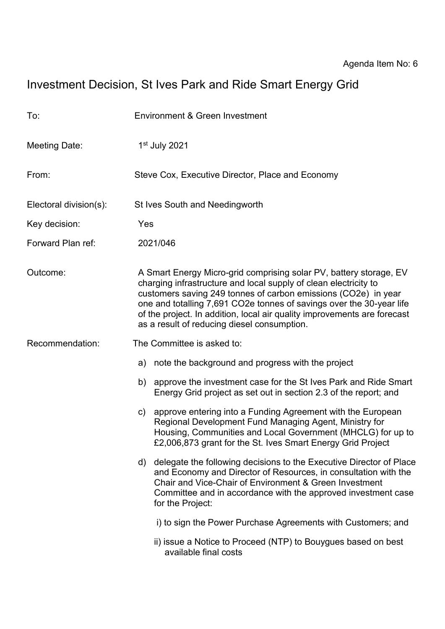# Investment Decision, St Ives Park and Ride Smart Energy Grid

| To:                    | Environment & Green Investment                                                                                                                                                                                                                                                                                                                                                                              |
|------------------------|-------------------------------------------------------------------------------------------------------------------------------------------------------------------------------------------------------------------------------------------------------------------------------------------------------------------------------------------------------------------------------------------------------------|
| <b>Meeting Date:</b>   | $1st$ July 2021                                                                                                                                                                                                                                                                                                                                                                                             |
| From:                  | Steve Cox, Executive Director, Place and Economy                                                                                                                                                                                                                                                                                                                                                            |
| Electoral division(s): | St Ives South and Needingworth                                                                                                                                                                                                                                                                                                                                                                              |
| Key decision:          | Yes                                                                                                                                                                                                                                                                                                                                                                                                         |
| Forward Plan ref:      | 2021/046                                                                                                                                                                                                                                                                                                                                                                                                    |
| Outcome:               | A Smart Energy Micro-grid comprising solar PV, battery storage, EV<br>charging infrastructure and local supply of clean electricity to<br>customers saving 249 tonnes of carbon emissions (CO2e) in year<br>one and totalling 7,691 CO2e tonnes of savings over the 30-year life<br>of the project. In addition, local air quality improvements are forecast<br>as a result of reducing diesel consumption. |
| Recommendation:        | The Committee is asked to:                                                                                                                                                                                                                                                                                                                                                                                  |
|                        | note the background and progress with the project<br>a)                                                                                                                                                                                                                                                                                                                                                     |
|                        | approve the investment case for the St Ives Park and Ride Smart<br>b)<br>Energy Grid project as set out in section 2.3 of the report; and                                                                                                                                                                                                                                                                   |
|                        | c) approve entering into a Funding Agreement with the European<br>Regional Development Fund Managing Agent, Ministry for<br>Housing, Communities and Local Government (MHCLG) for up to<br>£2,006,873 grant for the St. Ives Smart Energy Grid Project                                                                                                                                                      |
|                        | delegate the following decisions to the Executive Director of Place<br>d)<br>and Economy and Director of Resources, in consultation with the<br>Chair and Vice-Chair of Environment & Green Investment<br>Committee and in accordance with the approved investment case<br>for the Project:                                                                                                                 |
|                        | i) to sign the Power Purchase Agreements with Customers; and                                                                                                                                                                                                                                                                                                                                                |
|                        | ii) issue a Notice to Proceed (NTP) to Bouygues based on best<br>available final costs                                                                                                                                                                                                                                                                                                                      |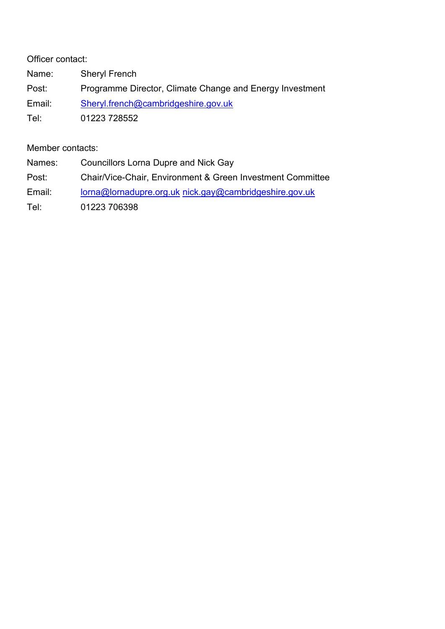Officer contact: Name: Sheryl French Post: Programme Director, Climate Change and Energy Investment Email: [Sheryl.french@cambridgeshire.gov.uk](mailto:Sheryl.french@cambridgeshire.gov.uk) Tel: 01223 728552

Member contacts:

| Names: | <b>Councillors Lorna Dupre and Nick Gay</b>                |
|--------|------------------------------------------------------------|
| Post:  | Chair/Vice-Chair, Environment & Green Investment Committee |
| Email: | lorna@lornadupre.org.uk nick.gay@cambridgeshire.gov.uk     |
| Tel:   | 01223 706398                                               |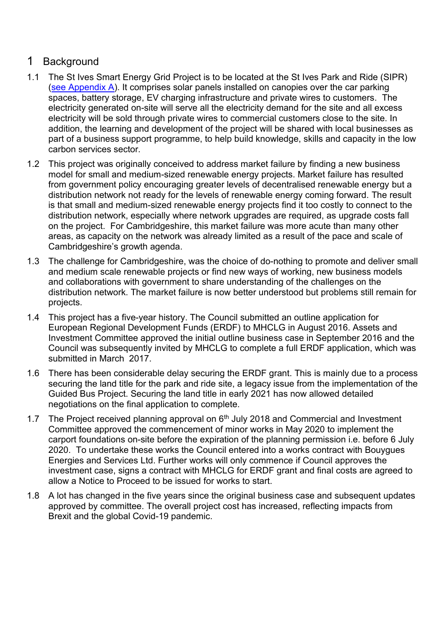## 1 Background

- 1.1 The St Ives Smart Energy Grid Project is to be located at the St Ives Park and Ride (SIPR) [\(see Appendix A\)](#page-11-0). It comprises solar panels installed on canopies over the car parking spaces, battery storage, EV charging infrastructure and private wires to customers. The electricity generated on-site will serve all the electricity demand for the site and all excess electricity will be sold through private wires to commercial customers close to the site. In addition, the learning and development of the project will be shared with local businesses as part of a business support programme, to help build knowledge, skills and capacity in the low carbon services sector.
- 1.2 This project was originally conceived to address market failure by finding a new business model for small and medium-sized renewable energy projects. Market failure has resulted from government policy encouraging greater levels of decentralised renewable energy but a distribution network not ready for the levels of renewable energy coming forward. The result is that small and medium-sized renewable energy projects find it too costly to connect to the distribution network, especially where network upgrades are required, as upgrade costs fall on the project. For Cambridgeshire, this market failure was more acute than many other areas, as capacity on the network was already limited as a result of the pace and scale of Cambridgeshire's growth agenda.
- 1.3 The challenge for Cambridgeshire, was the choice of do-nothing to promote and deliver small and medium scale renewable projects or find new ways of working, new business models and collaborations with government to share understanding of the challenges on the distribution network. The market failure is now better understood but problems still remain for projects.
- 1.4 This project has a five-year history. The Council submitted an outline application for European Regional Development Funds (ERDF) to MHCLG in August 2016. Assets and Investment Committee approved the initial outline business case in September 2016 and the Council was subsequently invited by MHCLG to complete a full ERDF application, which was submitted in March 2017.
- 1.6 There has been considerable delay securing the ERDF grant. This is mainly due to a process securing the land title for the park and ride site, a legacy issue from the implementation of the Guided Bus Project. Securing the land title in early 2021 has now allowed detailed negotiations on the final application to complete.
- 1.7 The Project received planning approval on  $6<sup>th</sup>$  July 2018 and Commercial and Investment Committee approved the commencement of minor works in May 2020 to implement the carport foundations on-site before the expiration of the planning permission i.e. before 6 July 2020. To undertake these works the Council entered into a works contract with Bouygues Energies and Services Ltd. Further works will only commence if Council approves the investment case, signs a contract with MHCLG for ERDF grant and final costs are agreed to allow a Notice to Proceed to be issued for works to start.
- 1.8 A lot has changed in the five years since the original business case and subsequent updates approved by committee. The overall project cost has increased, reflecting impacts from Brexit and the global Covid-19 pandemic.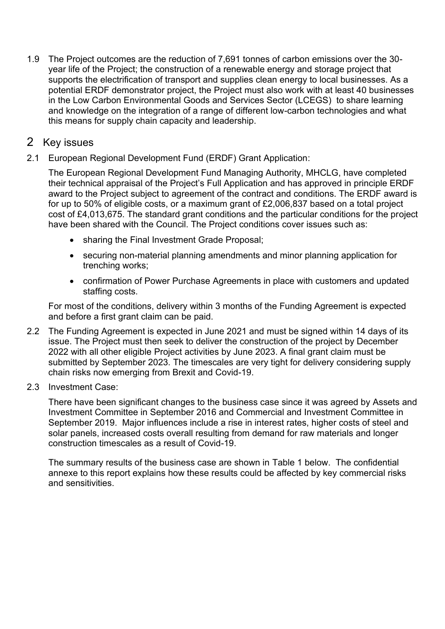1.9 The Project outcomes are the reduction of 7,691 tonnes of carbon emissions over the 30 year life of the Project; the construction of a renewable energy and storage project that supports the electrification of transport and supplies clean energy to local businesses. As a potential ERDF demonstrator project, the Project must also work with at least 40 businesses in the Low Carbon Environmental Goods and Services Sector (LCEGS) to share learning and knowledge on the integration of a range of different low-carbon technologies and what this means for supply chain capacity and leadership.

## 2 Key issues

2.1 European Regional Development Fund (ERDF) Grant Application:

The European Regional Development Fund Managing Authority, MHCLG, have completed their technical appraisal of the Project's Full Application and has approved in principle ERDF award to the Project subject to agreement of the contract and conditions. The ERDF award is for up to 50% of eligible costs, or a maximum grant of £2,006,837 based on a total project cost of £4,013,675. The standard grant conditions and the particular conditions for the project have been shared with the Council. The Project conditions cover issues such as:

- sharing the Final Investment Grade Proposal;
- securing non-material planning amendments and minor planning application for trenching works;
- confirmation of Power Purchase Agreements in place with customers and updated staffing costs.

For most of the conditions, delivery within 3 months of the Funding Agreement is expected and before a first grant claim can be paid.

- 2.2 The Funding Agreement is expected in June 2021 and must be signed within 14 days of its issue. The Project must then seek to deliver the construction of the project by December 2022 with all other eligible Project activities by June 2023. A final grant claim must be submitted by September 2023. The timescales are very tight for delivery considering supply chain risks now emerging from Brexit and Covid-19.
- 2.3 Investment Case:

There have been significant changes to the business case since it was agreed by Assets and Investment Committee in September 2016 and Commercial and Investment Committee in September 2019. Major influences include a rise in interest rates, higher costs of steel and solar panels, increased costs overall resulting from demand for raw materials and longer construction timescales as a result of Covid-19.

The summary results of the business case are shown in [Table 1](#page-4-0) below. The confidential annexe to this report explains how these results could be affected by key commercial risks and sensitivities.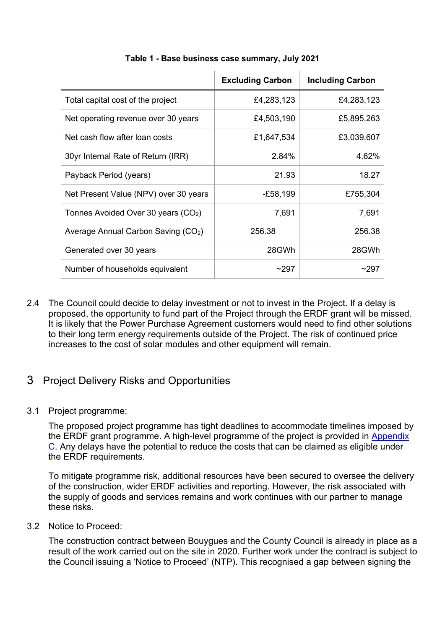<span id="page-4-0"></span>

|                                                 | <b>Excluding Carbon</b> | <b>Including Carbon</b> |
|-------------------------------------------------|-------------------------|-------------------------|
| Total capital cost of the project               | £4,283,123              | £4,283,123              |
| Net operating revenue over 30 years             | £4,503,190              | £5,895,263              |
| Net cash flow after loan costs                  | £1,647,534              | £3,039,607              |
| 30yr Internal Rate of Return (IRR)              | 2.84%                   | 4.62%                   |
| Payback Period (years)                          | 21.93                   | 18.27                   |
| Net Present Value (NPV) over 30 years           | $-E58,199$              | £755,304                |
| Tonnes Avoided Over 30 years $(CO2)$            | 7,691                   | 7,691                   |
| Average Annual Carbon Saving (CO <sub>2</sub> ) | 256.38                  | 256.38                  |
| Generated over 30 years                         | 28GWh                   | 28GWh                   |
| Number of households equivalent                 | ~297                    | ~297                    |

#### **Table 1 - Base business case summary, July 2021**

2.4 The Council could decide to delay investment or not to invest in the Project. If a delay is proposed, the opportunity to fund part of the Project through the ERDF grant will be missed. It is likely that the Power Purchase Agreement customers would need to find other solutions to their long term energy requirements outside of the Project. The risk of continued price increases to the cost of solar modules and other equipment will remain.

## 3 Project Delivery Risks and Opportunities

3.1 Project programme:

The proposed project programme has tight deadlines to accommodate timelines imposed by the ERDF grant programme. A high-level programme of the project is provided in [Appendix](#page-12-0)  C. Any delays have the potential to reduce the costs that can be claimed as eligible under the ERDF requirements.

To mitigate programme risk, additional resources have been secured to oversee the delivery of the construction, wider ERDF activities and reporting. However, the risk associated with the supply of goods and services remains and work continues with our partner to manage these risks.

3.2 Notice to Proceed:

The construction contract between Bouygues and the County Council is already in place as a result of the work carried out on the site in 2020. Further work under the contract is subject to the Council issuing a 'Notice to Proceed' (NTP). This recognised a gap between signing the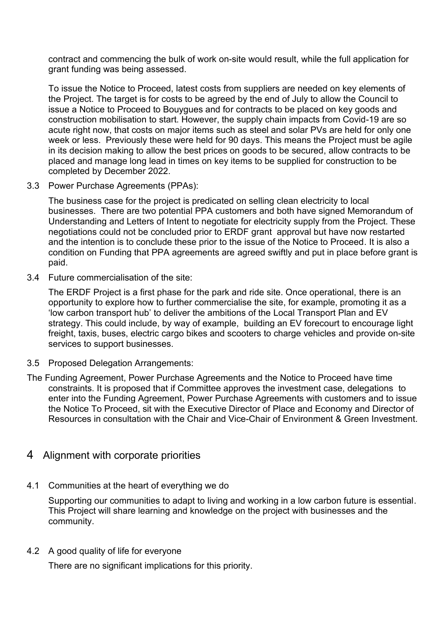contract and commencing the bulk of work on-site would result, while the full application for grant funding was being assessed.

To issue the Notice to Proceed, latest costs from suppliers are needed on key elements of the Project. The target is for costs to be agreed by the end of July to allow the Council to issue a Notice to Proceed to Bouygues and for contracts to be placed on key goods and construction mobilisation to start. However, the supply chain impacts from Covid-19 are so acute right now, that costs on major items such as steel and solar PVs are held for only one week or less. Previously these were held for 90 days. This means the Project must be agile in its decision making to allow the best prices on goods to be secured, allow contracts to be placed and manage long lead in times on key items to be supplied for construction to be completed by December 2022.

3.3 Power Purchase Agreements (PPAs):

The business case for the project is predicated on selling clean electricity to local businesses. There are two potential PPA customers and both have signed Memorandum of Understanding and Letters of Intent to negotiate for electricity supply from the Project. These negotiations could not be concluded prior to ERDF grant approval but have now restarted and the intention is to conclude these prior to the issue of the Notice to Proceed. It is also a condition on Funding that PPA agreements are agreed swiftly and put in place before grant is paid.

3.4 Future commercialisation of the site:

The ERDF Project is a first phase for the park and ride site. Once operational, there is an opportunity to explore how to further commercialise the site, for example, promoting it as a 'low carbon transport hub' to deliver the ambitions of the Local Transport Plan and EV strategy. This could include, by way of example, building an EV forecourt to encourage light freight, taxis, buses, electric cargo bikes and scooters to charge vehicles and provide on-site services to support businesses.

- 3.5 Proposed Delegation Arrangements:
- The Funding Agreement, Power Purchase Agreements and the Notice to Proceed have time constraints. It is proposed that if Committee approves the investment case, delegations to enter into the Funding Agreement, Power Purchase Agreements with customers and to issue the Notice To Proceed, sit with the Executive Director of Place and Economy and Director of Resources in consultation with the Chair and Vice-Chair of Environment & Green Investment.

## 4 Alignment with corporate priorities

4.1 Communities at the heart of everything we do

Supporting our communities to adapt to living and working in a low carbon future is essential. This Project will share learning and knowledge on the project with businesses and the community.

4.2 A good quality of life for everyone

There are no significant implications for this priority.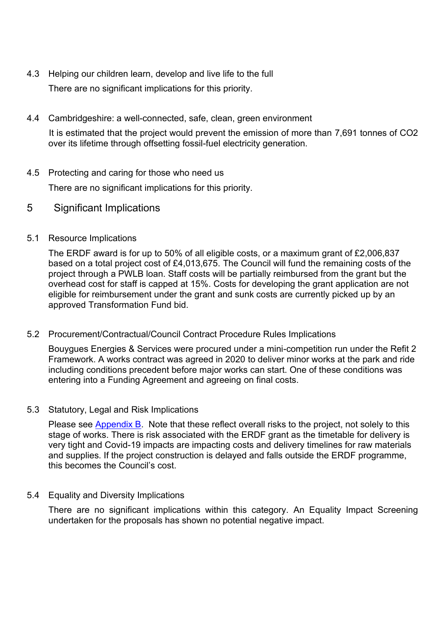- 4.3 Helping our children learn, develop and live life to the full There are no significant implications for this priority.
- 4.4 Cambridgeshire: a well-connected, safe, clean, green environment It is estimated that the project would prevent the emission of more than 7,691 tonnes of CO2 over its lifetime through offsetting fossil-fuel electricity generation.
- 4.5 Protecting and caring for those who need us

There are no significant implications for this priority.

5 Significant Implications

#### 5.1 Resource Implications

The ERDF award is for up to 50% of all eligible costs, or a maximum grant of £2,006,837 based on a total project cost of £4,013,675. The Council will fund the remaining costs of the project through a PWLB loan. Staff costs will be partially reimbursed from the grant but the overhead cost for staff is capped at 15%. Costs for developing the grant application are not eligible for reimbursement under the grant and sunk costs are currently picked up by an approved Transformation Fund bid.

#### 5.2 Procurement/Contractual/Council Contract Procedure Rules Implications

Bouygues Energies & Services were procured under a mini-competition run under the Refit 2 Framework. A works contract was agreed in 2020 to deliver minor works at the park and ride including conditions precedent before major works can start. One of these conditions was entering into a Funding Agreement and agreeing on final costs.

#### 5.3 Statutory, Legal and Risk Implications

Please see [Appendix B.](#page-11-1) Note that these reflect overall risks to the project, not solely to this stage of works. There is risk associated with the ERDF grant as the timetable for delivery is very tight and Covid-19 impacts are impacting costs and delivery timelines for raw materials and supplies. If the project construction is delayed and falls outside the ERDF programme, this becomes the Council's cost.

#### 5.4 Equality and Diversity Implications

There are no significant implications within this category. An Equality Impact Screening undertaken for the proposals has shown no potential negative impact.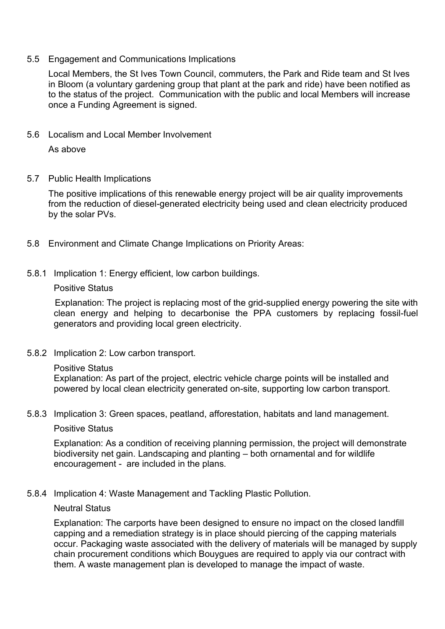#### 5.5 Engagement and Communications Implications

Local Members, the St Ives Town Council, commuters, the Park and Ride team and St Ives in Bloom (a voluntary gardening group that plant at the park and ride) have been notified as to the status of the project. Communication with the public and local Members will increase once a Funding Agreement is signed.

5.6 Localism and Local Member Involvement

As above

5.7 Public Health Implications

The positive implications of this renewable energy project will be air quality improvements from the reduction of diesel-generated electricity being used and clean electricity produced by the solar PVs.

- 5.8 Environment and Climate Change Implications on Priority Areas:
- 5.8.1 Implication 1: Energy efficient, low carbon buildings.

#### Positive Status

Explanation: The project is replacing most of the grid-supplied energy powering the site with clean energy and helping to decarbonise the PPA customers by replacing fossil-fuel generators and providing local green electricity.

- 5.8.2 Implication 2: Low carbon transport.
	- Positive Status

Explanation: As part of the project, electric vehicle charge points will be installed and powered by local clean electricity generated on-site, supporting low carbon transport.

5.8.3 Implication 3: Green spaces, peatland, afforestation, habitats and land management.

#### Positive Status

Explanation: As a condition of receiving planning permission, the project will demonstrate biodiversity net gain. Landscaping and planting – both ornamental and for wildlife encouragement - are included in the plans.

5.8.4 Implication 4: Waste Management and Tackling Plastic Pollution.

#### Neutral Status

Explanation: The carports have been designed to ensure no impact on the closed landfill capping and a remediation strategy is in place should piercing of the capping materials occur. Packaging waste associated with the delivery of materials will be managed by supply chain procurement conditions which Bouygues are required to apply via our contract with them. A waste management plan is developed to manage the impact of waste.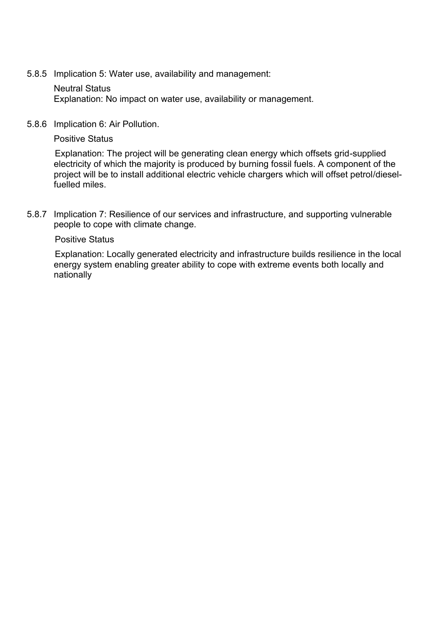5.8.5 Implication 5: Water use, availability and management:

#### Neutral Status

Explanation: No impact on water use, availability or management.

5.8.6 Implication 6: Air Pollution.

Positive Status

Explanation: The project will be generating clean energy which offsets grid-supplied electricity of which the majority is produced by burning fossil fuels. A component of the project will be to install additional electric vehicle chargers which will offset petrol/dieselfuelled miles.

5.8.7 Implication 7: Resilience of our services and infrastructure, and supporting vulnerable people to cope with climate change.

#### Positive Status

Explanation: Locally generated electricity and infrastructure builds resilience in the local energy system enabling greater ability to cope with extreme events both locally and nationally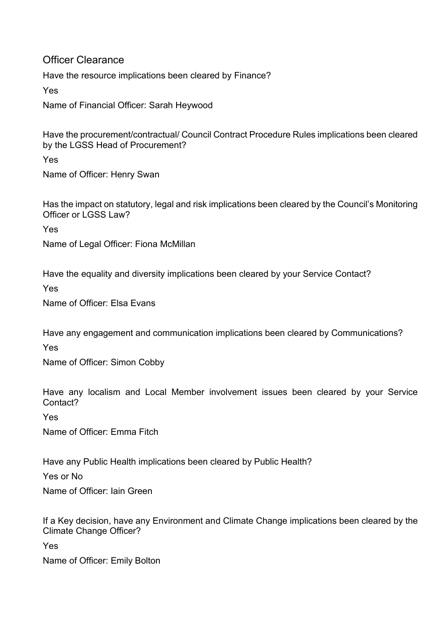## Officer Clearance

Have the resource implications been cleared by Finance?

Yes

Name of Financial Officer: Sarah Heywood

Have the procurement/contractual/ Council Contract Procedure Rules implications been cleared by the LGSS Head of Procurement?

Yes

Name of Officer: Henry Swan

Has the impact on statutory, legal and risk implications been cleared by the Council's Monitoring Officer or LGSS Law?

Yes

Name of Legal Officer: Fiona McMillan

Have the equality and diversity implications been cleared by your Service Contact?

Yes

Name of Officer: Elsa Evans

Have any engagement and communication implications been cleared by Communications?

Yes

Name of Officer: Simon Cobby

Have any localism and Local Member involvement issues been cleared by your Service Contact?

Yes

Name of Officer: Emma Fitch

Have any Public Health implications been cleared by Public Health?

Yes or No

Name of Officer: Iain Green

If a Key decision, have any Environment and Climate Change implications been cleared by the Climate Change Officer?

Yes

Name of Officer: Emily Bolton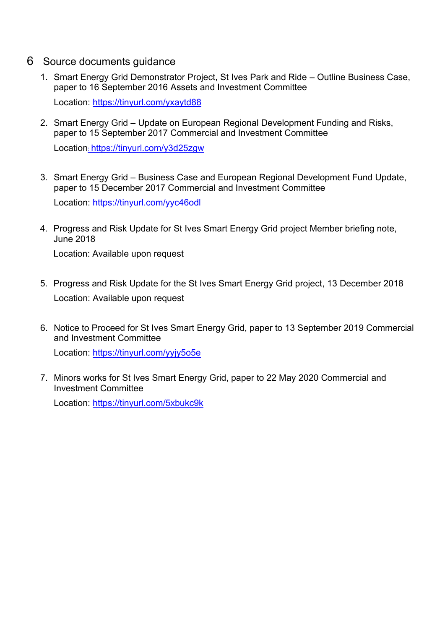- 6 Source documents guidance
	- 1. Smart Energy Grid Demonstrator Project, St Ives Park and Ride Outline Business Case, paper to 16 September 2016 Assets and Investment Committee Location:<https://tinyurl.com/yxaytd88>
	- 2. Smart Energy Grid Update on European Regional Development Funding and Risks, paper to 15 September 2017 Commercial and Investment Committee Location: <https://tinyurl.com/y3d25zgw>
	- 3. Smart Energy Grid Business Case and European Regional Development Fund Update, paper to 15 December 2017 Commercial and Investment Committee Location:<https://tinyurl.com/yyc46odl>
	- 4. Progress and Risk Update for St Ives Smart Energy Grid project Member briefing note, June 2018

Location: Available upon request

- 5. Progress and Risk Update for the St Ives Smart Energy Grid project, 13 December 2018 Location: Available upon request
- 6. Notice to Proceed for St Ives Smart Energy Grid, paper to 13 September 2019 Commercial and Investment Committee

Location:<https://tinyurl.com/yyjy5o5e>

7. Minors works for St Ives Smart Energy Grid, paper to 22 May 2020 Commercial and Investment Committee

Location:<https://tinyurl.com/5xbukc9k>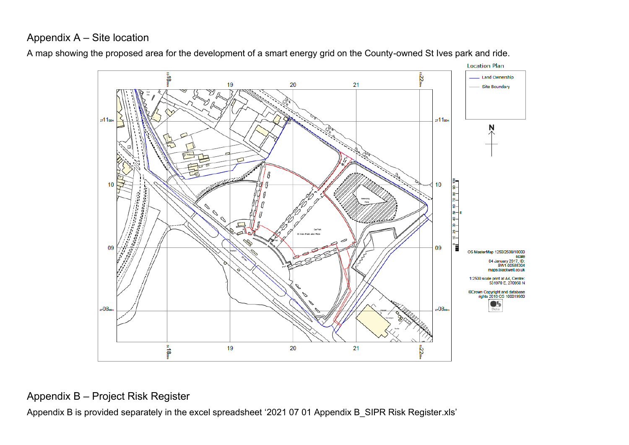## Appendix A – Site location

<span id="page-11-0"></span>



## Appendix B – Project Risk Register

<span id="page-11-1"></span>Appendix B is provided separately in the excel spreadsheet '2021 07 01 Appendix B\_SIPR Risk Register.xls'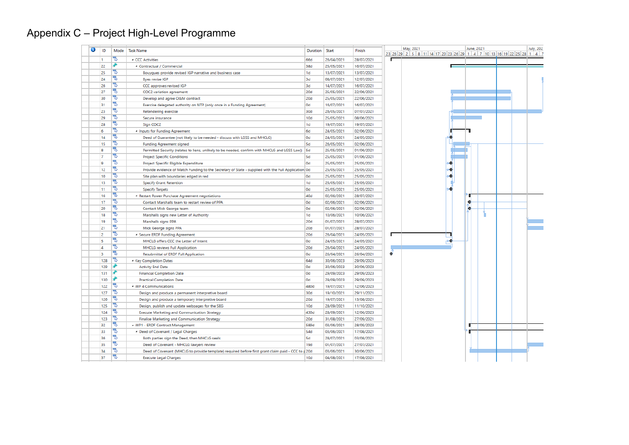## Appendix C – Project High-Level Programme

<span id="page-12-0"></span>

| ❶              | ID  | Mode | <b>Task Name</b><br>Duration<br>Start<br>Finish                                                     |                |            |            | May, 2021<br>23 26 29 2 5 8 11 14 17 20 23 26 29 1 4 7 10 13 16 19 22 25 28 1 4 7 | June, 2021 | <b>July, 202</b> |   |  |  |
|----------------|-----|------|-----------------------------------------------------------------------------------------------------|----------------|------------|------------|-----------------------------------------------------------------------------------|------------|------------------|---|--|--|
| 11             |     | ъ    | <b>CCC Activities</b>                                                                               | 66d            | 26/04/2021 | 28/07/2021 |                                                                                   |            |                  |   |  |  |
|                | 22  | ÷    | <sup>4</sup> Contractual / Commercial                                                               | 38d            | 25/05/2021 | 16/07/2021 |                                                                                   |            |                  |   |  |  |
|                | 25  | ₹    | Bouygues provide revised IGP narrative and business case                                            | 1 <sub>d</sub> | 13/07/2021 | 13/07/2021 |                                                                                   |            |                  |   |  |  |
|                | 24  | Ъ    | <b>Byes revise IGP</b>                                                                              | 3d             | 08/07/2021 | 12/07/2021 |                                                                                   |            |                  |   |  |  |
|                | 26  | Ъ    | CCC approves revised IGP                                                                            | 3d             | 14/07/2021 | 16/07/2021 |                                                                                   |            |                  |   |  |  |
|                | 27  | 5    | <b>COC2</b> variation agreement                                                                     | 20d            | 25/05/2021 | 22/06/2021 |                                                                                   |            |                  |   |  |  |
|                | 30  | ъ    | Develop and agree O&M contract                                                                      | 20d            | 25/05/2021 | 22/06/2021 |                                                                                   |            |                  |   |  |  |
|                | 31  | 5    | Exercise delegated authority on NTP (only once in a Funding Agreement)                              | 0 <sub>d</sub> | 16/07/2021 | 16/07/2021 |                                                                                   |            |                  |   |  |  |
|                | 23  | 5    | Retendering exercise                                                                                | 30d            | 26/05/2021 | 07/07/2021 |                                                                                   |            |                  |   |  |  |
|                | 29  | 75   | Secure insurance                                                                                    | 10d            | 25/05/2021 | 08/06/2021 |                                                                                   |            |                  |   |  |  |
|                | 28  | ∍    | Sign COC2                                                                                           | 1 <sub>d</sub> | 19/07/2021 | 19/07/2021 |                                                                                   |            |                  |   |  |  |
| 6              |     | Ъ    | <sup>4</sup> Inputs for Funding Agreement                                                           | 6d             | 24/05/2021 | 02/06/2021 |                                                                                   |            |                  |   |  |  |
|                | 14  | 림    | Deed of Guarantee (not likely to be needed - discuss with LGSS and MHCLG)                           | 0d             | 24/05/2021 | 24/05/2021 |                                                                                   |            |                  |   |  |  |
|                | 15  | 긤    | <b>Funding Agreement signed</b>                                                                     | <b>5d</b>      | 26/05/2021 | 02/06/2021 |                                                                                   |            |                  |   |  |  |
| 8              |     | B    | Permitted Security (relates to liens, unlikely to be needed, confirm with MHCLG and LGSS Law))   5d |                | 25/05/2021 | 01/06/2021 |                                                                                   |            |                  |   |  |  |
| $\overline{7}$ |     | e    | <b>Project Specific Conditions</b>                                                                  | 5d             | 25/05/2021 | 01/06/2021 |                                                                                   |            |                  |   |  |  |
| $\overline{9}$ |     |      | Project Specific Eligible Expenditure                                                               | Od             | 25/05/2021 | 25/05/2021 |                                                                                   |            |                  |   |  |  |
|                | 12  | 5    | Provide evidence of Match Funding to the Secretary of State - supplied with the Full Application 0d |                | 25/05/2021 | 25/05/2021 |                                                                                   |            |                  |   |  |  |
|                | 10  | Ъ    | Site plan with boundaries edged in red                                                              | 0d             | 25/05/2021 | 25/05/2021 |                                                                                   |            |                  |   |  |  |
|                | 13  | B    | <b>Specify Grant Retention</b>                                                                      | 1d             | 25/05/2021 | 25/05/2021 |                                                                                   |            |                  |   |  |  |
|                | 11  | Ъ    | <b>Specify Targets</b>                                                                              | 0d             | 25/05/2021 | 25/05/2021 |                                                                                   |            |                  |   |  |  |
|                | 16  | Ъ    | 4 Restart Power Purchase Agreement negotiations                                                     | 40d            | 02/06/2021 | 28/07/2021 |                                                                                   |            |                  |   |  |  |
|                | 17  | 73   | Contact Marshalls team to restart review of PPA                                                     | Od             | 02/06/2021 | 02/06/2021 |                                                                                   |            |                  | e |  |  |
|                | 20  | ۳    | Contact Mick George team                                                                            | 0d             | 02/06/2021 | 02/06/2021 |                                                                                   |            |                  | e |  |  |
|                | 18  | ъ    | Marshalls signs new Letter of Authority                                                             | 1 <sub>d</sub> | 10/06/2021 | 10/06/2021 |                                                                                   |            |                  |   |  |  |
|                | 19  | 73   | Marshalls signs PPA                                                                                 | 20d            | 01/07/2021 | 28/07/2021 |                                                                                   |            |                  |   |  |  |
|                | 21  | 75   | Mick George signs PPA                                                                               | 20d            | 01/07/2021 | 28/07/2021 |                                                                                   |            |                  |   |  |  |
| 2              |     | Ъ    | 4 Secure ERDF Funding Agreement                                                                     | 20d            | 26/04/2021 | 24/05/2021 |                                                                                   |            |                  |   |  |  |
| 5              |     | ₹    | MHCLG offers CCC the Letter of Intent                                                               | 0d             | 24/05/2021 | 24/05/2021 |                                                                                   |            |                  |   |  |  |
| $\Delta$       |     | Ъ    | <b>MHCLG</b> reviews Full Application                                                               | 20d            | 26/04/2021 | 24/05/2021 |                                                                                   |            |                  |   |  |  |
| 3              |     | 5    | Resubmittal of ERDF Full Application                                                                | Od             | 26/04/2021 | 26/04/2021 | ٠                                                                                 |            |                  |   |  |  |
|                | 128 | e    | <sup>4</sup> Key Completion Dates                                                                   | 64d            | 30/06/2023 | 29/09/2023 |                                                                                   |            |                  |   |  |  |
|                | 129 |      | <b>Activity End Date</b>                                                                            | 0 <sub>d</sub> | 30/06/2023 | 30/06/2023 |                                                                                   |            |                  |   |  |  |
|                | 131 |      | <b>Financial Completion Date</b>                                                                    | 0 <sub>d</sub> | 29/09/2023 | 29/09/2023 |                                                                                   |            |                  |   |  |  |
|                | 130 |      | <b>Practical Completion Date</b>                                                                    | 0 <sub>d</sub> | 29/09/2023 | 29/09/2023 |                                                                                   |            |                  |   |  |  |
|                | 122 | ۳    | . WP 4 Communications                                                                               | 480d           | 19/07/2021 | 12/06/2023 |                                                                                   |            |                  |   |  |  |
|                | 127 | B    | Design and produce a permanent interpretive board                                                   | 30d            | 19/10/2021 | 29/11/2021 |                                                                                   |            |                  |   |  |  |
|                | 126 | B    | Design and produce a temporary interpretive board                                                   | 20d            | 19/07/2021 | 13/08/2021 |                                                                                   |            |                  |   |  |  |
|                | 125 | B    | Design, publish and update webpages for the SEG                                                     | 10d            | 28/09/2021 | 11/10/2021 |                                                                                   |            |                  |   |  |  |
|                | 124 | B    | <b>Execute Marketing and Communication Strategy</b>                                                 | 430d           | 28/09/2021 | 12/06/2023 |                                                                                   |            |                  |   |  |  |
|                | 123 | ъ    | <b>Finalise Marketing and Communication Strategy</b>                                                | 20d            | 31/08/2021 | 27/09/2021 |                                                                                   |            |                  |   |  |  |
|                | 32  | 73   | . WP1 - ERDF Contract Management                                                                    | 589d           | 03/06/2021 | 28/09/2023 |                                                                                   |            |                  | ш |  |  |
|                | 33  | Б    | 4 Deed of Covenant / Legal Charges                                                                  | 54d            | 03/06/2021 | 17/08/2021 |                                                                                   |            |                  |   |  |  |
|                | 36  | 75   | Both parties sign the Deed, then MHCLG seals                                                        | 5d             | 28/07/2021 | 03/08/2021 |                                                                                   |            |                  |   |  |  |
|                | 35  |      | Deed of Covenant - MHCLG lawyers review                                                             | 19d            | 01/07/2021 | 27/07/2021 |                                                                                   |            |                  |   |  |  |
|                | 34  | Ъ    | Deed of Covenant (MHCLG to provide template) required before first grant claim paid - CCC to d 20d  |                | 03/06/2021 | 30/06/2021 |                                                                                   |            |                  |   |  |  |
|                | 37  | ₿    | <b>Execute Legal Charges</b>                                                                        | 10d            | 04/08/2021 | 17/08/2021 |                                                                                   |            |                  |   |  |  |
|                |     |      |                                                                                                     |                |            |            |                                                                                   |            |                  |   |  |  |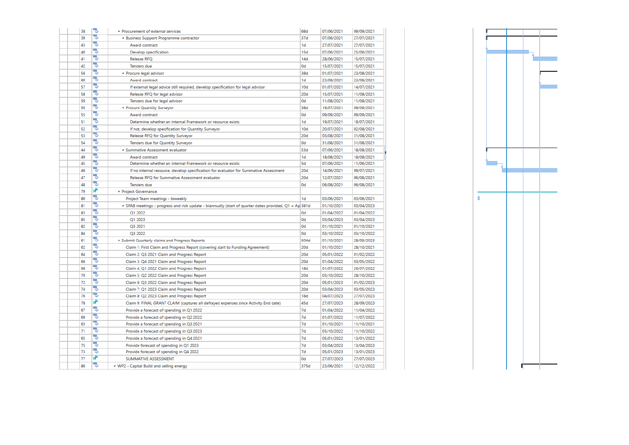| 38        | 73 | <b>A</b> Procurement of external services                                                              | 68d            | 07/06/2021 | 09/09/2021 |
|-----------|----|--------------------------------------------------------------------------------------------------------|----------------|------------|------------|
| 39        | Ъ  | 4 Business Support Programme contractor                                                                | 37d            | 07/06/2021 | 27/07/2021 |
| 43        | B  | Award contract                                                                                         | 1 <sub>d</sub> | 27/07/2021 | 27/07/2021 |
| 40        | 5  | Develop specification                                                                                  | 15d            | 07/06/2021 | 25/06/2021 |
| 41        | 5  | Release RFQ                                                                                            | 14d            | 28/06/2021 | 15/07/2021 |
| 42        | 75 | <b>Tenders</b> due                                                                                     | 0d             | 15/07/2021 | 15/07/2021 |
| 56        | 5  | <b>4</b> Procure legal advisor                                                                         | 38d            | 01/07/2021 | 23/08/2021 |
| 60        | ₹  | Award contract                                                                                         | 1 <sub>d</sub> | 23/08/2021 | 23/08/2021 |
| 57        | ₹  | If external legal advice still required, develop specification for legal advisor                       | 10d            | 01/07/2021 | 14/07/2021 |
| 58        | 5  | Release RFQ for legal advisor                                                                          | 20d            | 15/07/2021 | 11/08/2021 |
| 59        | 5  | Tenders due for legal advisor                                                                          | 0d             | 11/08/2021 | 11/08/2021 |
| 50        | 5  | <sup>4</sup> Procure Quantity Surveyor                                                                 | 38d            | 19/07/2021 | 09/09/2021 |
| 55        | 5  | Award contract                                                                                         | 0d             | 09/09/2021 | 09/09/2021 |
| 51        | 75 | Determine whether an internal Framework or resource exists                                             | 1 <sub>d</sub> | 19/07/2021 | 19/07/2021 |
| 52        | 7  | If not, develop specification for Quantity Surveyor                                                    | 10d            | 20/07/2021 | 02/08/2021 |
| 53        | Б  | Release RFQ for Quantity Surveyor                                                                      | 20d            | 03/08/2021 | 31/08/2021 |
| 54        | 5  | <b>Tenders due for Quantity Surveyor</b>                                                               | 0d             | 31/08/2021 | 31/08/2021 |
| 44        | 5  | 4 Summative Assessment evaluator                                                                       | 53d            | 07/06/2021 | 18/08/2021 |
| 49        | 5  | Award contract                                                                                         | 1 <sub>d</sub> | 18/08/2021 | 18/08/2021 |
| 45        | 5  | Determine whether an internal Framework or resource exists                                             | 5d             | 07/06/2021 | 11/06/2021 |
| 46        | Ъ  | If no internal resource, develop specification for evaluator for Summative Assessment                  | 20d            | 14/06/2021 | 09/07/2021 |
| 47        | 5  | Release RFQ for Summative Assessment evaluator                                                         | 20d            | 12/07/2021 | 06/08/2021 |
| 48        | 5  | Tenders due                                                                                            | 0d             | 06/08/2021 | 06/08/2021 |
| 79        | ₩  | <b>4 Project Governance</b>                                                                            |                |            |            |
| 80        | ₹  | Project Team meetings - biweekly                                                                       | 1 <sub>d</sub> | 03/06/2021 | 03/06/2021 |
| 81        | 5  | 4 SPAB meetings - progress and risk update - biannually (start of quarter dates provided, Q1 = Ap 381d |                | 01/10/2021 | 03/04/2023 |
| 83        | 5  | O1 2022                                                                                                | 0d             | 01/04/2022 | 01/04/2022 |
| 85        | 틩  | Q1 2023                                                                                                | 0d             | 03/04/2023 | 03/04/2023 |
| 82        | 5  | Q3 2021                                                                                                | 0d             | 01/10/2021 | 01/10/2021 |
| <b>R4</b> | 75 | Q3 2022                                                                                                | 0d             | 03/10/2022 | 03/10/2022 |
| 61        | 75 | 4 Submit Quarterly claims and Progress Reports                                                         | 504d           | 01/10/2021 | 28/09/2023 |
| 62        | 75 | Claim 1: First Claim and Progress Report (covering start to Funding Agreement)                         | 20d            | 01/10/2021 | 28/10/2021 |
| 64        | Б  | Claim 2: Q3 2021 Claim and Progress Report                                                             | 20d            | 05/01/2022 | 01/02/2022 |
| 66        | ₹  | Claim 3: Q4 2021 Claim and Progress Report                                                             | 20d            | 01/04/2022 | 03/05/2022 |
| 68        | 5  | Claim 4: Q1 2022 Claim and Progress Report                                                             | 18d            | 01/07/2022 | 26/07/2022 |
| 70        | 5  | Claim 5: Q2 2022 Claim and Progress Report                                                             | 20d            | 03/10/2022 | 28/10/2022 |
| 72        | 5  | Claim 6: Q3 2022 Claim and Progress Report                                                             | 20d            | 05/01/2023 | 01/02/2023 |
| 74        | 5  | Claim 7: Q1 2023 Claim and Progress Report                                                             | 20d            | 03/04/2023 | 03/05/2023 |
| 76        | Ъ  | Claim 8: Q2 2023 Claim and Progress Report                                                             | 18d            | 04/07/2023 | 27/07/2023 |
| 78        | ₹  | Claim 9: FINAL GRANT CLAIM (captures all defrayed expenses since Activity End date)                    | 45d            | 27/07/2023 | 28/09/2023 |
| 67        | 73 | Provide a forecast of spending in Q1 2022                                                              | 7d             | 01/04/2022 | 11/04/2022 |
| 69        | ₹  | Provide a forecast of spending in Q2 2022                                                              | 7d             | 01/07/2022 | 11/07/2022 |
| 63        | 5  | Provide a forecast of spending in Q3 2021                                                              | 7d             | 01/10/2021 | 11/10/2021 |
| 71        | ₹  | Provide a forecast of spending in Q3 2023                                                              | 7d             | 03/10/2022 | 11/10/2022 |
| 65        | 鸭  | Provide a forecast of spending in Q4 2021                                                              | 7d             | 05/01/2022 | 13/01/2022 |
| 75        | 5  | Provide forecast of spending in Q1 2023                                                                | 7d             | 03/04/2023 | 13/04/2023 |
| 73        | ₹  | Provide forecast of spending in Q4 2022                                                                | 7d             | 05/01/2023 | 13/01/2023 |
| 77        | ₹  | SUMMATIVE ASSESSMENT                                                                                   | 0d             | 27/07/2023 | 27/07/2023 |
| 86        | 75 | <sup>4</sup> WP2 - Capital Build and selling energy                                                    | 375d           | 23/06/2021 | 12/12/2022 |
|           |    |                                                                                                        |                |            |            |